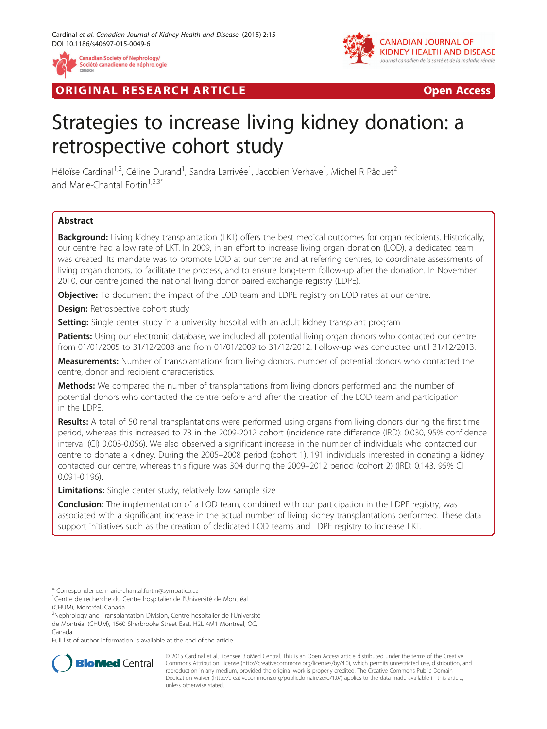

**RIGINAL RESEARCH ARTICLE CONSUMING ACCESS** 



# Strategies to increase living kidney donation: a retrospective cohort study

Héloïse Cardinal<sup>1,2</sup>, Céline Durand<sup>1</sup>, Sandra Larrivée<sup>1</sup>, Jacobien Verhave<sup>1</sup>, Michel R Pâquet<sup>2</sup> and Marie-Chantal Fortin<sup>1,2,3\*</sup>

# **Abstract**

Background: Living kidney transplantation (LKT) offers the best medical outcomes for organ recipients. Historically, our centre had a low rate of LKT. In 2009, in an effort to increase living organ donation (LOD), a dedicated team was created. Its mandate was to promote LOD at our centre and at referring centres, to coordinate assessments of living organ donors, to facilitate the process, and to ensure long-term follow-up after the donation. In November 2010, our centre joined the national living donor paired exchange registry (LDPE).

**Objective:** To document the impact of the LOD team and LDPE registry on LOD rates at our centre.

**Design:** Retrospective cohort study

**Setting:** Single center study in a university hospital with an adult kidney transplant program

Patients: Using our electronic database, we included all potential living organ donors who contacted our centre from 01/01/2005 to 31/12/2008 and from 01/01/2009 to 31/12/2012. Follow-up was conducted until 31/12/2013.

Measurements: Number of transplantations from living donors, number of potential donors who contacted the centre, donor and recipient characteristics.

**Methods:** We compared the number of transplantations from living donors performed and the number of potential donors who contacted the centre before and after the creation of the LOD team and participation in the LDPE.

Results: A total of 50 renal transplantations were performed using organs from living donors during the first time period, whereas this increased to 73 in the 2009-2012 cohort (incidence rate difference (IRD): 0.030, 95% confidence interval (CI) 0.003-0.056). We also observed a significant increase in the number of individuals who contacted our centre to donate a kidney. During the 2005–2008 period (cohort 1), 191 individuals interested in donating a kidney contacted our centre, whereas this figure was 304 during the 2009–2012 period (cohort 2) (IRD: 0.143, 95% CI 0.091-0.196).

Limitations: Single center study, relatively low sample size

**Conclusion:** The implementation of a LOD team, combined with our participation in the LDPE registry, was associated with a significant increase in the actual number of living kidney transplantations performed. These data support initiatives such as the creation of dedicated LOD teams and LDPE registry to increase LKT.

Full list of author information is available at the end of the article



© 2015 Cardinal et al.; licensee BioMed Central. This is an Open Access article distributed under the terms of the Creative Commons Attribution License [\(http://creativecommons.org/licenses/by/4.0\)](http://creativecommons.org/licenses/by/4.0), which permits unrestricted use, distribution, and reproduction in any medium, provided the original work is properly credited. The Creative Commons Public Domain Dedication waiver [\(http://creativecommons.org/publicdomain/zero/1.0/](http://creativecommons.org/publicdomain/zero/1.0/)) applies to the data made available in this article, unless otherwise stated.

<sup>\*</sup> Correspondence: [marie-chantal.fortin@sympatico.ca](mailto:marie-chantal.fortin@sympatico.ca) <sup>1</sup>

<sup>&</sup>lt;sup>1</sup> Centre de recherche du Centre hospitalier de l'Université de Montréal (CHUM), Montréal, Canada

<sup>&</sup>lt;sup>2</sup>Nephrology and Transplantation Division, Centre hospitalier de l'Université de Montréal (CHUM), 1560 Sherbrooke Street East, H2L 4M1 Montreal, QC, Canada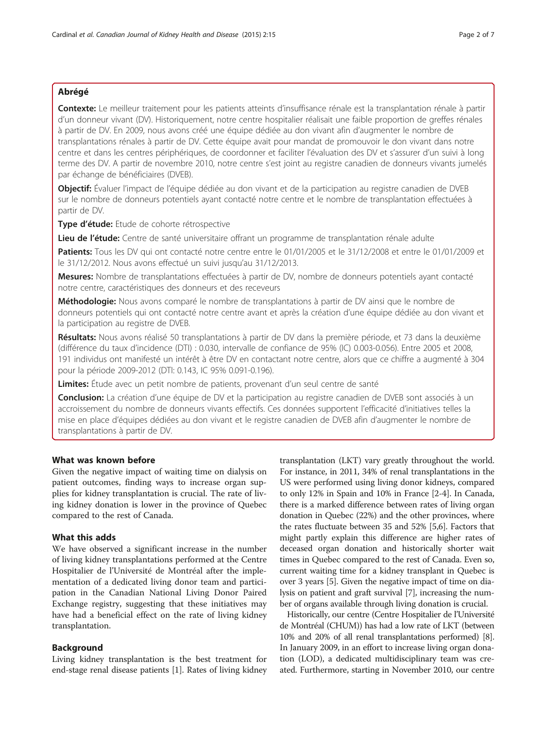## Abrégé

Contexte: Le meilleur traitement pour les patients atteints d'insuffisance rénale est la transplantation rénale à partir d'un donneur vivant (DV). Historiquement, notre centre hospitalier réalisait une faible proportion de greffes rénales à partir de DV. En 2009, nous avons créé une équipe dédiée au don vivant afin d'augmenter le nombre de transplantations rénales à partir de DV. Cette équipe avait pour mandat de promouvoir le don vivant dans notre centre et dans les centres périphériques, de coordonner et faciliter l'évaluation des DV et s'assurer d'un suivi à long terme des DV. A partir de novembre 2010, notre centre s'est joint au registre canadien de donneurs vivants jumelés par échange de bénéficiaires (DVEB).

Objectif: Évaluer l'impact de l'équipe dédiée au don vivant et de la participation au registre canadien de DVEB sur le nombre de donneurs potentiels ayant contacté notre centre et le nombre de transplantation effectuées à partir de DV.

Type d'étude: Etude de cohorte rétrospective

Lieu de l'étude: Centre de santé universitaire offrant un programme de transplantation rénale adulte

Patients: Tous les DV qui ont contacté notre centre entre le 01/01/2005 et le 31/12/2008 et entre le 01/01/2009 et le 31/12/2012. Nous avons effectué un suivi jusqu'au 31/12/2013.

Mesures: Nombre de transplantations effectuées à partir de DV, nombre de donneurs potentiels ayant contacté notre centre, caractéristiques des donneurs et des receveurs

Méthodologie: Nous avons comparé le nombre de transplantations à partir de DV ainsi que le nombre de donneurs potentiels qui ont contacté notre centre avant et après la création d'une équipe dédiée au don vivant et la participation au registre de DVEB.

Résultats: Nous avons réalisé 50 transplantations à partir de DV dans la première période, et 73 dans la deuxième (différence du taux d'incidence (DTI) : 0.030, intervalle de confiance de 95% (IC) 0.003-0.056). Entre 2005 et 2008, 191 individus ont manifesté un intérêt à être DV en contactant notre centre, alors que ce chiffre a augmenté à 304 pour la période 2009-2012 (DTI: 0.143, IC 95% 0.091-0.196).

Limites: Étude avec un petit nombre de patients, provenant d'un seul centre de santé

Conclusion: La création d'une équipe de DV et la participation au registre canadien de DVEB sont associés à un accroissement du nombre de donneurs vivants effectifs. Ces données supportent l'efficacité d'initiatives telles la mise en place d'équipes dédiées au don vivant et le registre canadien de DVEB afin d'augmenter le nombre de transplantations à partir de DV.

# What was known before

Given the negative impact of waiting time on dialysis on patient outcomes, finding ways to increase organ supplies for kidney transplantation is crucial. The rate of living kidney donation is lower in the province of Quebec compared to the rest of Canada.

# What this adds

We have observed a significant increase in the number of living kidney transplantations performed at the Centre Hospitalier de l'Université de Montréal after the implementation of a dedicated living donor team and participation in the Canadian National Living Donor Paired Exchange registry, suggesting that these initiatives may have had a beneficial effect on the rate of living kidney transplantation.

## Background

Living kidney transplantation is the best treatment for end-stage renal disease patients [\[1](#page-6-0)]. Rates of living kidney

transplantation (LKT) vary greatly throughout the world. For instance, in 2011, 34% of renal transplantations in the US were performed using living donor kidneys, compared to only 12% in Spain and 10% in France [\[2](#page-6-0)-[4](#page-6-0)]. In Canada, there is a marked difference between rates of living organ donation in Quebec (22%) and the other provinces, where the rates fluctuate between 35 and 52% [[5](#page-6-0),[6](#page-6-0)]. Factors that might partly explain this difference are higher rates of deceased organ donation and historically shorter wait times in Quebec compared to the rest of Canada. Even so, current waiting time for a kidney transplant in Quebec is over 3 years [\[5](#page-6-0)]. Given the negative impact of time on dialysis on patient and graft survival [\[7](#page-6-0)], increasing the number of organs available through living donation is crucial.

Historically, our centre (Centre Hospitalier de l'Université de Montréal (CHUM)) has had a low rate of LKT (between 10% and 20% of all renal transplantations performed) [[8](#page-6-0)]. In January 2009, in an effort to increase living organ donation (LOD), a dedicated multidisciplinary team was created. Furthermore, starting in November 2010, our centre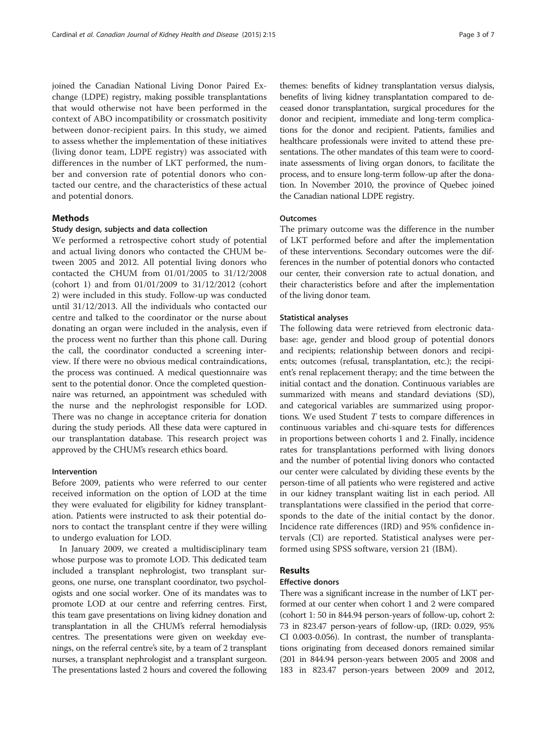joined the Canadian National Living Donor Paired Exchange (LDPE) registry, making possible transplantations that would otherwise not have been performed in the context of ABO incompatibility or crossmatch positivity between donor-recipient pairs. In this study, we aimed to assess whether the implementation of these initiatives (living donor team, LDPE registry) was associated with differences in the number of LKT performed, the number and conversion rate of potential donors who contacted our centre, and the characteristics of these actual and potential donors.

#### **Methods**

#### Study design, subjects and data collection

We performed a retrospective cohort study of potential and actual living donors who contacted the CHUM between 2005 and 2012. All potential living donors who contacted the CHUM from 01/01/2005 to 31/12/2008 (cohort 1) and from 01/01/2009 to 31/12/2012 (cohort 2) were included in this study. Follow-up was conducted until 31/12/2013. All the individuals who contacted our centre and talked to the coordinator or the nurse about donating an organ were included in the analysis, even if the process went no further than this phone call. During the call, the coordinator conducted a screening interview. If there were no obvious medical contraindications, the process was continued. A medical questionnaire was sent to the potential donor. Once the completed questionnaire was returned, an appointment was scheduled with the nurse and the nephrologist responsible for LOD. There was no change in acceptance criteria for donation during the study periods. All these data were captured in our transplantation database. This research project was approved by the CHUM's research ethics board.

# Intervention

Before 2009, patients who were referred to our center received information on the option of LOD at the time they were evaluated for eligibility for kidney transplantation. Patients were instructed to ask their potential donors to contact the transplant centre if they were willing to undergo evaluation for LOD.

In January 2009, we created a multidisciplinary team whose purpose was to promote LOD. This dedicated team included a transplant nephrologist, two transplant surgeons, one nurse, one transplant coordinator, two psychologists and one social worker. One of its mandates was to promote LOD at our centre and referring centres. First, this team gave presentations on living kidney donation and transplantation in all the CHUM's referral hemodialysis centres. The presentations were given on weekday evenings, on the referral centre's site, by a team of 2 transplant nurses, a transplant nephrologist and a transplant surgeon. The presentations lasted 2 hours and covered the following

themes: benefits of kidney transplantation versus dialysis, benefits of living kidney transplantation compared to deceased donor transplantation, surgical procedures for the donor and recipient, immediate and long-term complications for the donor and recipient. Patients, families and healthcare professionals were invited to attend these presentations. The other mandates of this team were to coordinate assessments of living organ donors, to facilitate the process, and to ensure long-term follow-up after the donation. In November 2010, the province of Quebec joined the Canadian national LDPE registry.

#### **Outcomes**

The primary outcome was the difference in the number of LKT performed before and after the implementation of these interventions. Secondary outcomes were the differences in the number of potential donors who contacted our center, their conversion rate to actual donation, and their characteristics before and after the implementation of the living donor team.

#### Statistical analyses

The following data were retrieved from electronic database: age, gender and blood group of potential donors and recipients; relationship between donors and recipients; outcomes (refusal, transplantation, etc.); the recipient's renal replacement therapy; and the time between the initial contact and the donation. Continuous variables are summarized with means and standard deviations (SD), and categorical variables are summarized using proportions. We used Student T tests to compare differences in continuous variables and chi-square tests for differences in proportions between cohorts 1 and 2. Finally, incidence rates for transplantations performed with living donors and the number of potential living donors who contacted our center were calculated by dividing these events by the person-time of all patients who were registered and active in our kidney transplant waiting list in each period. All transplantations were classified in the period that corresponds to the date of the initial contact by the donor. Incidence rate differences (IRD) and 95% confidence intervals (CI) are reported. Statistical analyses were performed using SPSS software, version 21 (IBM).

# Results

## Effective donors

There was a significant increase in the number of LKT performed at our center when cohort 1 and 2 were compared (cohort 1: 50 in 844.94 person-years of follow-up, cohort 2: 73 in 823.47 person-years of follow-up, (IRD: 0.029, 95% CI 0.003-0.056). In contrast, the number of transplantations originating from deceased donors remained similar (201 in 844.94 person-years between 2005 and 2008 and 183 in 823.47 person-years between 2009 and 2012,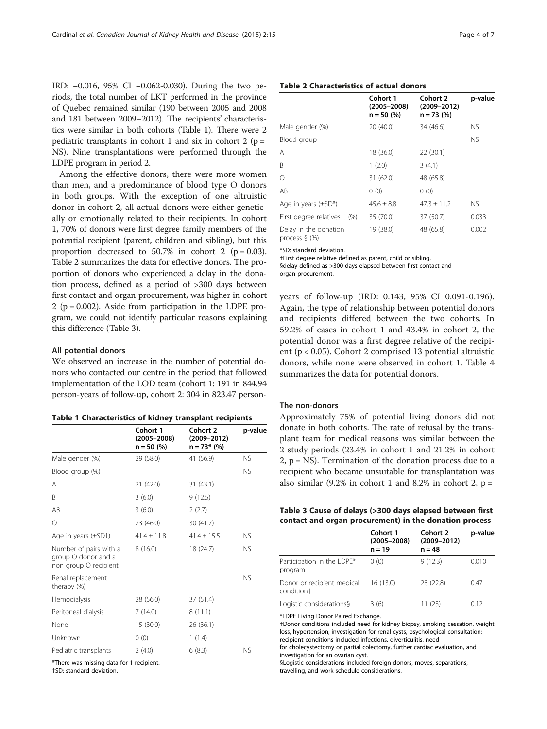IRD: −0.016, 95% CI −0.062-0.030). During the two periods, the total number of LKT performed in the province of Quebec remained similar (190 between 2005 and 2008 and 181 between 2009–2012). The recipients' characteristics were similar in both cohorts (Table 1). There were 2 pediatric transplants in cohort 1 and six in cohort 2 ( $p =$ NS). Nine transplantations were performed through the LDPE program in period 2.

Among the effective donors, there were more women than men, and a predominance of blood type O donors in both groups. With the exception of one altruistic donor in cohort 2, all actual donors were either genetically or emotionally related to their recipients. In cohort 1, 70% of donors were first degree family members of the potential recipient (parent, children and sibling), but this proportion decreased to 50.7% in cohort 2 ( $p = 0.03$ ). Table 2 summarizes the data for effective donors. The proportion of donors who experienced a delay in the donation process, defined as a period of >300 days between first contact and organ procurement, was higher in cohort 2 ( $p = 0.002$ ). Aside from participation in the LDPE program, we could not identify particular reasons explaining this difference (Table 3).

#### All potential donors

We observed an increase in the number of potential donors who contacted our centre in the period that followed implementation of the LOD team (cohort 1: 191 in 844.94 person-years of follow-up, cohort 2: 304 in 823.47 person-

|  | Table 1 Characteristics of kidney transplant recipients |  |  |  |
|--|---------------------------------------------------------|--|--|--|
|--|---------------------------------------------------------|--|--|--|

|                                                                        | Cohort 1<br>$(2005 - 2008)$<br>$n = 50$ (%) | Cohort 2<br>$(2009 - 2012)$<br>$n = 73$ * (%) | p-value   |
|------------------------------------------------------------------------|---------------------------------------------|-----------------------------------------------|-----------|
| Male gender (%)                                                        | 29 (58.0)                                   | 41 (56.9)                                     | NS.       |
| Blood group (%)                                                        |                                             |                                               | <b>NS</b> |
| Α                                                                      | 21(42.0)                                    | 31(43.1)                                      |           |
| B                                                                      | 3(6.0)                                      | 9(12.5)                                       |           |
| AB                                                                     | 3(6.0)                                      | 2(2.7)                                        |           |
| О                                                                      | 23 (46.0)                                   | 30 (41.7)                                     |           |
| Age in years $(\pm SD\dagger)$                                         | $41.4 \pm 11.8$                             | $41.4 \pm 15.5$                               | NS.       |
| Number of pairs with a<br>group O donor and a<br>non group O recipient | 8(16.0)                                     | 18 (24.7)                                     | NS.       |
| Renal replacement<br>therapy (%)                                       |                                             |                                               | <b>NS</b> |
| Hemodialysis                                                           | 28 (56.0)                                   | 37 (51.4)                                     |           |
| Peritoneal dialysis                                                    | 7(14.0)                                     | 8(11.1)                                       |           |
| None                                                                   | 15(30.0)                                    | 26 (36.1)                                     |           |
| Unknown                                                                | 0(0)                                        | 1(1.4)                                        |           |
| Pediatric transplants                                                  | 2(4.0)                                      | 6(8.3)                                        | NS.       |

\*There was missing data for 1 recipient.

†SD: standard deviation.

| Table 2 Characteristics of actual donors |
|------------------------------------------|
|------------------------------------------|

|                                           | Cohort 1<br>$(2005 - 2008)$<br>$n = 50$ (%) | Cohort 2<br>$(2009 - 2012)$<br>$n = 73$ (%) | p-value   |
|-------------------------------------------|---------------------------------------------|---------------------------------------------|-----------|
| Male gender (%)                           | 20(40.0)                                    | 34 (46.6)                                   | <b>NS</b> |
| Blood group                               |                                             |                                             | <b>NS</b> |
| Α                                         | 18 (36.0)                                   | 22(30.1)                                    |           |
| B                                         | 1(2.0)                                      | 3(4.1)                                      |           |
| О                                         | 31 (62.0)                                   | 48 (65.8)                                   |           |
| AB                                        | 0(0)                                        | 0(0)                                        |           |
| Age in years $(\pm SD^*)$                 | $45.6 \pm 8.8$                              | $47.3 \pm 11.2$                             | <b>NS</b> |
| First degree relatives + (%)              | 35 (70.0)                                   | 37 (50.7)                                   | 0.033     |
| Delay in the donation<br>process $\S$ (%) | 19 (38.0)                                   | 48 (65.8)                                   | 0.002     |

\*SD: standard deviation.

†First degree relative defined as parent, child or sibling. §delay defined as >300 days elapsed between first contact and organ procurement.

years of follow-up (IRD: 0.143, 95% CI 0.091-0.196). Again, the type of relationship between potential donors and recipients differed between the two cohorts. In 59.2% of cases in cohort 1 and 43.4% in cohort 2, the potential donor was a first degree relative of the recipient (p < 0.05). Cohort 2 comprised 13 potential altruistic donors, while none were observed in cohort 1. Table [4](#page-4-0) summarizes the data for potential donors.

#### The non-donors

Approximately 75% of potential living donors did not donate in both cohorts. The rate of refusal by the transplant team for medical reasons was similar between the 2 study periods (23.4% in cohort 1 and 21.2% in cohort  $2$ ,  $p = NS$ ). Termination of the donation process due to a recipient who became unsuitable for transplantation was also similar  $(9.2\%$  in cohort 1 and 8.2% in cohort 2,  $p =$ 

|  | Table 3 Cause of delays (>300 days elapsed between first |  |  |
|--|----------------------------------------------------------|--|--|
|  | contact and organ procurement) in the donation process   |  |  |

|                                                      | Cohort 1<br>$(2005 - 2008)$<br>$n = 19$ | Cohort 2<br>$(2009 - 2012)$<br>$n = 48$ | p-value |
|------------------------------------------------------|-----------------------------------------|-----------------------------------------|---------|
| Participation in the LDPE*<br>program                | 0(0)                                    | 9(12.3)                                 | 0.010   |
| Donor or recipient medical<br>condition <sup>+</sup> | 16 (13.0)                               | 28 (22.8)                               | 0.47    |
| Logistic considerations§                             | 3(6)                                    | 11 (23)                                 | 0.12    |

\*LDPE Living Donor Paired Exchange.

†Donor conditions included need for kidney biopsy, smoking cessation, weight loss, hypertension, investigation for renal cysts, psychological consultation; recipient conditions included infections, diverticulitis, need

for cholecystectomy or partial colectomy, further cardiac evaluation, and investigation for an ovarian cyst.

§Logistic considerations included foreign donors, moves, separations, travelling, and work schedule considerations.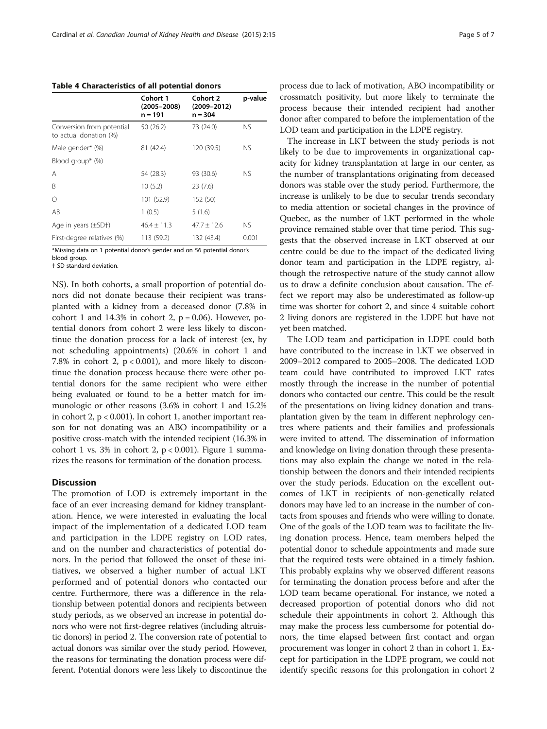<span id="page-4-0"></span>Table 4 Characteristics of all potential donors

|                                                     | Cohort 1<br>$(2005 - 2008)$<br>n = 191 | Cohort 2<br>$(2009 - 2012)$<br>$n = 304$ | p-value |
|-----------------------------------------------------|----------------------------------------|------------------------------------------|---------|
| Conversion from potential<br>to actual donation (%) | 50 (26.2)                              | 73 (24.0)                                | NS.     |
| Male gender* (%)                                    | 81 (42.4)                              | 120 (39.5)                               | NS.     |
| Blood group* (%)                                    |                                        |                                          |         |
| Α                                                   | 54 (28.3)                              | 93 (30.6)                                | NS.     |
| B                                                   | 10(5.2)                                | 23(7.6)                                  |         |
| Ω                                                   | 101 (52.9)                             | 152 (50)                                 |         |
| AB                                                  | 1(0.5)                                 | 5(1.6)                                   |         |
| Age in years $(\pm SD+)$                            | $46.4 \pm 11.3$                        | $47.7 + 12.6$                            | NS.     |
| First-degree relatives (%)                          | 113 (59.2)                             | 132 (43.4)                               | 0.001   |

\*Missing data on 1 potential donor's gender and on 56 potential donor's blood group.

† SD standard deviation.

NS). In both cohorts, a small proportion of potential donors did not donate because their recipient was transplanted with a kidney from a deceased donor (7.8% in cohort 1 and  $14.3\%$  in cohort 2,  $p = 0.06$ ). However, potential donors from cohort 2 were less likely to discontinue the donation process for a lack of interest (ex, by not scheduling appointments) (20.6% in cohort 1 and 7.8% in cohort 2,  $p < 0.001$ ), and more likely to discontinue the donation process because there were other potential donors for the same recipient who were either being evaluated or found to be a better match for immunologic or other reasons (3.6% in cohort 1 and 15.2% in cohort 2, p < 0.001). In cohort 1, another important reason for not donating was an ABO incompatibility or a positive cross-match with the intended recipient (16.3% in cohort [1](#page-5-0) vs. 3% in cohort 2,  $p < 0.001$ ). Figure 1 summarizes the reasons for termination of the donation process.

#### **Discussion**

The promotion of LOD is extremely important in the face of an ever increasing demand for kidney transplantation. Hence, we were interested in evaluating the local impact of the implementation of a dedicated LOD team and participation in the LDPE registry on LOD rates, and on the number and characteristics of potential donors. In the period that followed the onset of these initiatives, we observed a higher number of actual LKT performed and of potential donors who contacted our centre. Furthermore, there was a difference in the relationship between potential donors and recipients between study periods, as we observed an increase in potential donors who were not first-degree relatives (including altruistic donors) in period 2. The conversion rate of potential to actual donors was similar over the study period. However, the reasons for terminating the donation process were different. Potential donors were less likely to discontinue the

process due to lack of motivation, ABO incompatibility or crossmatch positivity, but more likely to terminate the process because their intended recipient had another donor after compared to before the implementation of the LOD team and participation in the LDPE registry.

The increase in LKT between the study periods is not likely to be due to improvements in organizational capacity for kidney transplantation at large in our center, as the number of transplantations originating from deceased donors was stable over the study period. Furthermore, the increase is unlikely to be due to secular trends secondary to media attention or societal changes in the province of Quebec, as the number of LKT performed in the whole province remained stable over that time period. This suggests that the observed increase in LKT observed at our centre could be due to the impact of the dedicated living donor team and participation in the LDPE registry, although the retrospective nature of the study cannot allow us to draw a definite conclusion about causation. The effect we report may also be underestimated as follow-up time was shorter for cohort 2, and since 4 suitable cohort 2 living donors are registered in the LDPE but have not yet been matched.

The LOD team and participation in LDPE could both have contributed to the increase in LKT we observed in 2009–2012 compared to 2005–2008. The dedicated LOD team could have contributed to improved LKT rates mostly through the increase in the number of potential donors who contacted our centre. This could be the result of the presentations on living kidney donation and transplantation given by the team in different nephrology centres where patients and their families and professionals were invited to attend. The dissemination of information and knowledge on living donation through these presentations may also explain the change we noted in the relationship between the donors and their intended recipients over the study periods. Education on the excellent outcomes of LKT in recipients of non-genetically related donors may have led to an increase in the number of contacts from spouses and friends who were willing to donate. One of the goals of the LOD team was to facilitate the living donation process. Hence, team members helped the potential donor to schedule appointments and made sure that the required tests were obtained in a timely fashion. This probably explains why we observed different reasons for terminating the donation process before and after the LOD team became operational. For instance, we noted a decreased proportion of potential donors who did not schedule their appointments in cohort 2. Although this may make the process less cumbersome for potential donors, the time elapsed between first contact and organ procurement was longer in cohort 2 than in cohort 1. Except for participation in the LDPE program, we could not identify specific reasons for this prolongation in cohort 2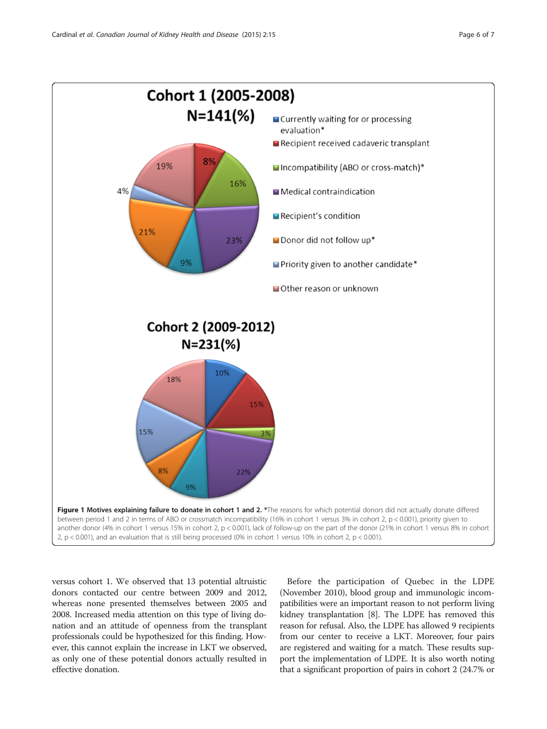<span id="page-5-0"></span>

versus cohort 1. We observed that 13 potential altruistic donors contacted our centre between 2009 and 2012, whereas none presented themselves between 2005 and 2008. Increased media attention on this type of living donation and an attitude of openness from the transplant professionals could be hypothesized for this finding. However, this cannot explain the increase in LKT we observed, as only one of these potential donors actually resulted in effective donation.

Before the participation of Quebec in the LDPE (November 2010), blood group and immunologic incompatibilities were an important reason to not perform living kidney transplantation [[8\]](#page-6-0). The LDPE has removed this reason for refusal. Also, the LDPE has allowed 9 recipients from our center to receive a LKT. Moreover, four pairs are registered and waiting for a match. These results support the implementation of LDPE. It is also worth noting that a significant proportion of pairs in cohort 2 (24.7% or